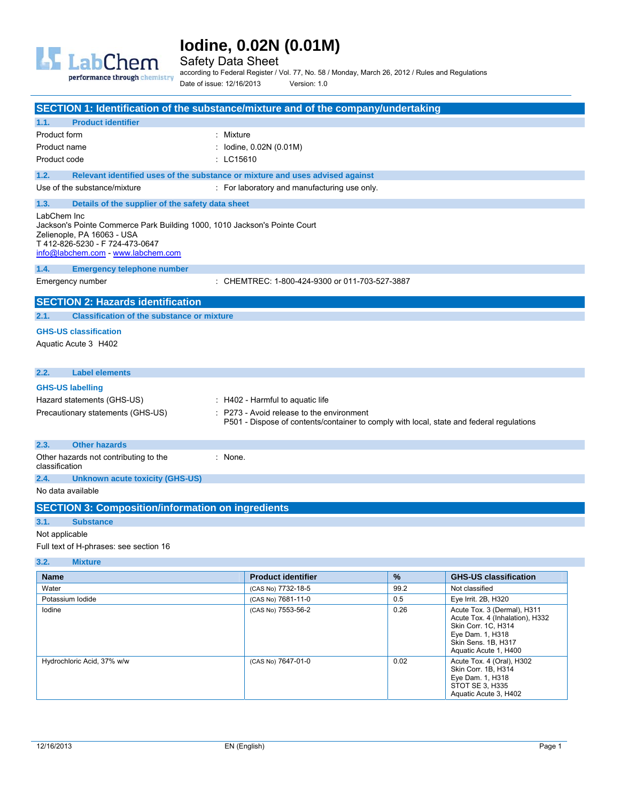

Safety Data Sheet

performance through chemistry

according to Federal Register / Vol. 77, No. 58 / Monday, March 26, 2012 / Rules and Regulations Date of issue: 12/16/2013 Version: 1.0

|                                                                                                                                                                                                 | SECTION 1: Identification of the substance/mixture and of the company/undertaking |                                                                                                                                     |      |                                                                                                                                  |
|-------------------------------------------------------------------------------------------------------------------------------------------------------------------------------------------------|-----------------------------------------------------------------------------------|-------------------------------------------------------------------------------------------------------------------------------------|------|----------------------------------------------------------------------------------------------------------------------------------|
| 1.1.                                                                                                                                                                                            | <b>Product identifier</b>                                                         |                                                                                                                                     |      |                                                                                                                                  |
| Product form                                                                                                                                                                                    |                                                                                   | : Mixture                                                                                                                           |      |                                                                                                                                  |
| Product name                                                                                                                                                                                    |                                                                                   | : lodine, 0.02N (0.01M)                                                                                                             |      |                                                                                                                                  |
| Product code                                                                                                                                                                                    |                                                                                   | : LC15610                                                                                                                           |      |                                                                                                                                  |
|                                                                                                                                                                                                 |                                                                                   |                                                                                                                                     |      |                                                                                                                                  |
| 1.2.                                                                                                                                                                                            | Relevant identified uses of the substance or mixture and uses advised against     |                                                                                                                                     |      |                                                                                                                                  |
|                                                                                                                                                                                                 | Use of the substance/mixture                                                      | : For laboratory and manufacturing use only.                                                                                        |      |                                                                                                                                  |
| 1.3.                                                                                                                                                                                            | Details of the supplier of the safety data sheet                                  |                                                                                                                                     |      |                                                                                                                                  |
| LabChem Inc<br>Jackson's Pointe Commerce Park Building 1000, 1010 Jackson's Pointe Court<br>Zelienople, PA 16063 - USA<br>T 412-826-5230 - F 724-473-0647<br>info@labchem.com - www.labchem.com |                                                                                   |                                                                                                                                     |      |                                                                                                                                  |
| 1.4.                                                                                                                                                                                            | <b>Emergency telephone number</b>                                                 |                                                                                                                                     |      |                                                                                                                                  |
|                                                                                                                                                                                                 | Emergency number                                                                  | : CHEMTREC: 1-800-424-9300 or 011-703-527-3887                                                                                      |      |                                                                                                                                  |
|                                                                                                                                                                                                 | <b>SECTION 2: Hazards identification</b>                                          |                                                                                                                                     |      |                                                                                                                                  |
| 2.1.                                                                                                                                                                                            | <b>Classification of the substance or mixture</b>                                 |                                                                                                                                     |      |                                                                                                                                  |
|                                                                                                                                                                                                 | <b>GHS-US classification</b>                                                      |                                                                                                                                     |      |                                                                                                                                  |
|                                                                                                                                                                                                 | Aquatic Acute 3 H402                                                              |                                                                                                                                     |      |                                                                                                                                  |
| 2.2.                                                                                                                                                                                            | <b>Label elements</b>                                                             |                                                                                                                                     |      |                                                                                                                                  |
| <b>GHS-US labelling</b>                                                                                                                                                                         |                                                                                   |                                                                                                                                     |      |                                                                                                                                  |
|                                                                                                                                                                                                 | Hazard statements (GHS-US)                                                        | $\pm$ H402 - Harmful to aquatic life                                                                                                |      |                                                                                                                                  |
| Precautionary statements (GHS-US)                                                                                                                                                               |                                                                                   | P273 - Avoid release to the environment<br>P501 - Dispose of contents/container to comply with local, state and federal regulations |      |                                                                                                                                  |
| 2.3.                                                                                                                                                                                            | <b>Other hazards</b>                                                              |                                                                                                                                     |      |                                                                                                                                  |
| classification                                                                                                                                                                                  | Other hazards not contributing to the                                             | : None.                                                                                                                             |      |                                                                                                                                  |
| 2.4.                                                                                                                                                                                            | <b>Unknown acute toxicity (GHS-US)</b>                                            |                                                                                                                                     |      |                                                                                                                                  |
| No data available                                                                                                                                                                               |                                                                                   |                                                                                                                                     |      |                                                                                                                                  |
|                                                                                                                                                                                                 | <b>SECTION 3: Composition/information on ingredients</b>                          |                                                                                                                                     |      |                                                                                                                                  |
| 3.1.                                                                                                                                                                                            | <b>Substance</b>                                                                  |                                                                                                                                     |      |                                                                                                                                  |
| Not applicable                                                                                                                                                                                  |                                                                                   |                                                                                                                                     |      |                                                                                                                                  |
|                                                                                                                                                                                                 | Full text of H-phrases: see section 16                                            |                                                                                                                                     |      |                                                                                                                                  |
| 3.2.                                                                                                                                                                                            | <b>Mixture</b>                                                                    |                                                                                                                                     |      |                                                                                                                                  |
| <b>Name</b>                                                                                                                                                                                     |                                                                                   | <b>Product identifier</b>                                                                                                           | %    | <b>GHS-US classification</b>                                                                                                     |
| Water                                                                                                                                                                                           |                                                                                   | (CAS No) 7732-18-5                                                                                                                  | 99.2 | Not classified                                                                                                                   |
| Potassium lodide                                                                                                                                                                                |                                                                                   | (CAS No) 7681-11-0                                                                                                                  | 0.5  | Eye Irrit. 2B, H320                                                                                                              |
| lodine                                                                                                                                                                                          |                                                                                   | (CAS No) 7553-56-2                                                                                                                  | 0.26 | Acute Tox. 3 (Dermal), H311<br>Acute Tox. 4 (Inhalation), H332<br>Skin Corr. 1C, H314<br>Eye Dam. 1, H318<br>Skin Sens. 1B, H317 |

Hydrochloric Acid, 37% w/w (CAS No) 7647-01-0 0.02 Acute Tox. 4 (Oral), H302

Aquatic Acute 1, H400

Skin Corr. 1B, H314 Eye Dam. 1, H318 STOT SE 3, H335 Aquatic Acute 3, H402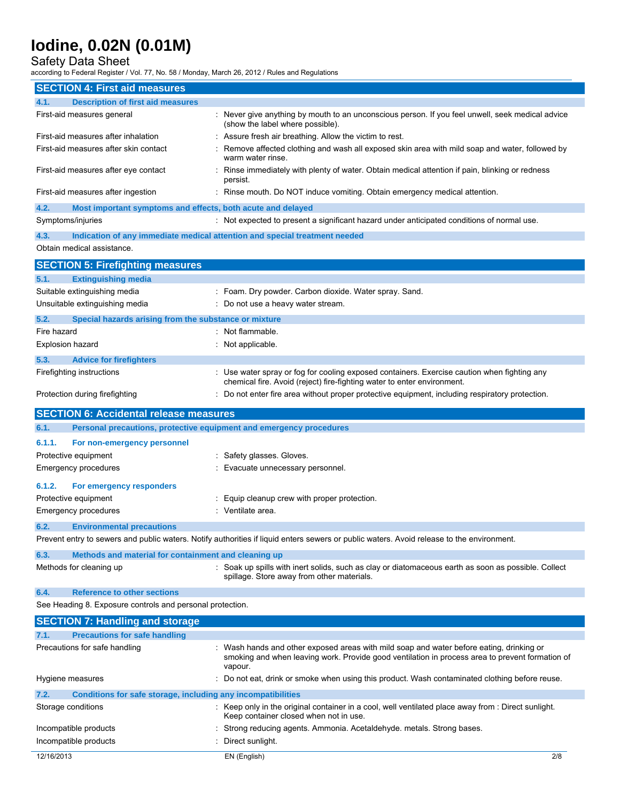Safety Data Sheet

according to Federal Register / Vol. 77, No. 58 / Monday, March 26, 2012 / Rules and Regulations

|                                     | <b>SECTION 4: First aid measures</b>                         |                                                                                                                                                                                                        |  |
|-------------------------------------|--------------------------------------------------------------|--------------------------------------------------------------------------------------------------------------------------------------------------------------------------------------------------------|--|
| 4.1.                                | <b>Description of first aid measures</b>                     |                                                                                                                                                                                                        |  |
| First-aid measures general          |                                                              | : Never give anything by mouth to an unconscious person. If you feel unwell, seek medical advice<br>(show the label where possible).                                                                   |  |
| First-aid measures after inhalation |                                                              | : Assure fresh air breathing. Allow the victim to rest.                                                                                                                                                |  |
|                                     | First-aid measures after skin contact                        | Remove affected clothing and wash all exposed skin area with mild soap and water, followed by<br>warm water rinse.                                                                                     |  |
|                                     | First-aid measures after eye contact                         | : Rinse immediately with plenty of water. Obtain medical attention if pain, blinking or redness<br>persist.                                                                                            |  |
| First-aid measures after ingestion  |                                                              | : Rinse mouth. Do NOT induce vomiting. Obtain emergency medical attention.                                                                                                                             |  |
| 4.2.<br>Symptoms/injuries           | Most important symptoms and effects, both acute and delayed  | : Not expected to present a significant hazard under anticipated conditions of normal use.                                                                                                             |  |
| 4.3.                                |                                                              | Indication of any immediate medical attention and special treatment needed                                                                                                                             |  |
| Obtain medical assistance.          |                                                              |                                                                                                                                                                                                        |  |
|                                     | <b>SECTION 5: Firefighting measures</b>                      |                                                                                                                                                                                                        |  |
| 5.1.                                | <b>Extinguishing media</b>                                   |                                                                                                                                                                                                        |  |
| Suitable extinguishing media        |                                                              | : Foam. Dry powder. Carbon dioxide. Water spray. Sand.                                                                                                                                                 |  |
| Unsuitable extinguishing media      |                                                              | : Do not use a heavy water stream.                                                                                                                                                                     |  |
| 5.2.                                | Special hazards arising from the substance or mixture        |                                                                                                                                                                                                        |  |
| Fire hazard                         |                                                              | : Not flammable.                                                                                                                                                                                       |  |
| <b>Explosion hazard</b>             |                                                              | : Not applicable.                                                                                                                                                                                      |  |
| 5.3.                                | <b>Advice for firefighters</b>                               |                                                                                                                                                                                                        |  |
| Firefighting instructions           |                                                              | : Use water spray or fog for cooling exposed containers. Exercise caution when fighting any<br>chemical fire. Avoid (reject) fire-fighting water to enter environment.                                 |  |
| Protection during firefighting      |                                                              | : Do not enter fire area without proper protective equipment, including respiratory protection.                                                                                                        |  |
|                                     | <b>SECTION 6: Accidental release measures</b>                |                                                                                                                                                                                                        |  |
|                                     |                                                              |                                                                                                                                                                                                        |  |
| 6.1.                                |                                                              | Personal precautions, protective equipment and emergency procedures                                                                                                                                    |  |
| 6.1.1.                              | For non-emergency personnel                                  |                                                                                                                                                                                                        |  |
| Protective equipment                |                                                              | : Safety glasses. Gloves.                                                                                                                                                                              |  |
| Emergency procedures                |                                                              | Evacuate unnecessary personnel.                                                                                                                                                                        |  |
| 6.1.2.                              | For emergency responders                                     |                                                                                                                                                                                                        |  |
| Protective equipment                |                                                              | : Equip cleanup crew with proper protection.                                                                                                                                                           |  |
| <b>Emergency procedures</b>         |                                                              | : Ventilate area.                                                                                                                                                                                      |  |
| 6.2.                                | <b>Environmental precautions</b>                             |                                                                                                                                                                                                        |  |
|                                     |                                                              | Prevent entry to sewers and public waters. Notify authorities if liquid enters sewers or public waters. Avoid release to the environment.                                                              |  |
| 6.3.                                | Methods and material for containment and cleaning up         |                                                                                                                                                                                                        |  |
| Methods for cleaning up             |                                                              | : Soak up spills with inert solids, such as clay or diatomaceous earth as soon as possible. Collect<br>spillage. Store away from other materials.                                                      |  |
| 6.4.                                | <b>Reference to other sections</b>                           |                                                                                                                                                                                                        |  |
|                                     | See Heading 8. Exposure controls and personal protection.    |                                                                                                                                                                                                        |  |
|                                     | <b>SECTION 7: Handling and storage</b>                       |                                                                                                                                                                                                        |  |
| 7.1.                                | <b>Precautions for safe handling</b>                         |                                                                                                                                                                                                        |  |
| Precautions for safe handling       |                                                              | : Wash hands and other exposed areas with mild soap and water before eating, drinking or<br>smoking and when leaving work. Provide good ventilation in process area to prevent formation of<br>vapour. |  |
| Hygiene measures                    |                                                              | : Do not eat, drink or smoke when using this product. Wash contaminated clothing before reuse.                                                                                                         |  |
| 7.2.                                | Conditions for safe storage, including any incompatibilities |                                                                                                                                                                                                        |  |
| Storage conditions                  |                                                              | : Keep only in the original container in a cool, well ventilated place away from : Direct sunlight.<br>Keep container closed when not in use.                                                          |  |
| Incompatible products               |                                                              | : Strong reducing agents. Ammonia. Acetaldehyde. metals. Strong bases.                                                                                                                                 |  |
| Incompatible products               |                                                              | Direct sunlight.                                                                                                                                                                                       |  |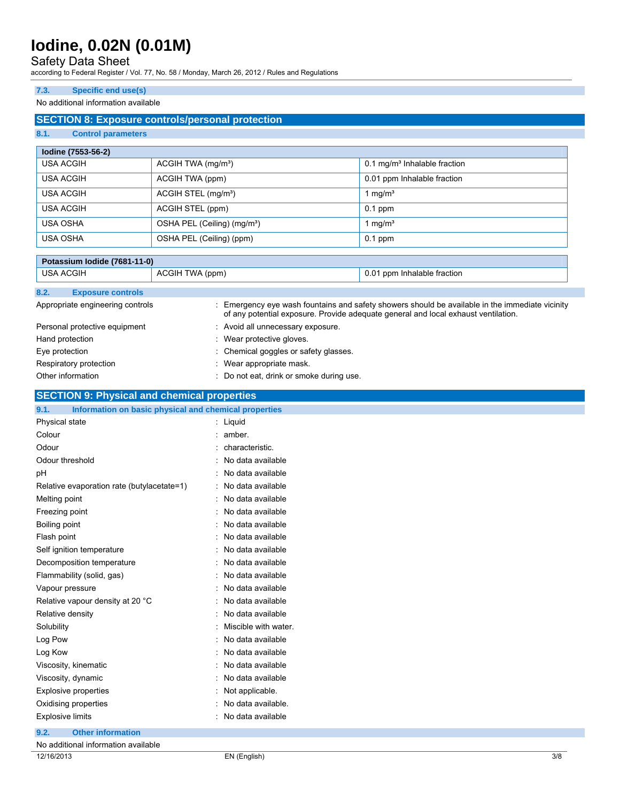## Safety Data Sheet

according to Federal Register / Vol. 77, No. 58 / Monday, March 26, 2012 / Rules and Regulations

#### **7.3. Specific end use(s)**

#### No additional information available

### **SECTION 8: Exposure controls/personal protection**

#### **8.1. Control parameters**

| lodine (7553-56-2) |                                         |                                          |
|--------------------|-----------------------------------------|------------------------------------------|
| <b>USA ACGIH</b>   | ACGIH TWA (mg/m <sup>3</sup> )          | 0.1 mg/m <sup>3</sup> Inhalable fraction |
| USA ACGIH          | ACGIH TWA (ppm)                         | 0.01 ppm Inhalable fraction              |
| USA ACGIH          | ACGIH STEL (mg/m <sup>3</sup> )         | 1 mg/m $3$                               |
| USA ACGIH          | ACGIH STEL (ppm)                        | $0.1$ ppm                                |
| USA OSHA           | OSHA PEL (Ceiling) (mg/m <sup>3</sup> ) | $\cdot$ mg/m <sup>3</sup>                |
| USA OSHA           | OSHA PEL (Ceiling) (ppm)                | $0.1$ ppm                                |

| Potassium Iodide (7681-11-0) |                                  |                 |                                          |                                                                                                                                                                                       |
|------------------------------|----------------------------------|-----------------|------------------------------------------|---------------------------------------------------------------------------------------------------------------------------------------------------------------------------------------|
| <b>USA ACGIH</b>             |                                  | ACGIH TWA (ppm) |                                          | 0.01 ppm Inhalable fraction                                                                                                                                                           |
| 8.2.                         | <b>Exposure controls</b>         |                 |                                          |                                                                                                                                                                                       |
|                              | Appropriate engineering controls |                 |                                          | : Emergency eye wash fountains and safety showers should be available in the immediate vicinity<br>of any potential exposure. Provide adequate general and local exhaust ventilation. |
|                              | Personal protective equipment    |                 | : Avoid all unnecessary exposure.        |                                                                                                                                                                                       |
| Hand protection              |                                  |                 | : Wear protective gloves.                |                                                                                                                                                                                       |
| Eye protection               |                                  |                 | : Chemical goggles or safety glasses.    |                                                                                                                                                                                       |
|                              | Respiratory protection           |                 | : Wear appropriate mask.                 |                                                                                                                                                                                       |
|                              | Other information                |                 | : Do not eat, drink or smoke during use. |                                                                                                                                                                                       |

### **SECTION 9: Physical and chemical properties**

| 9.1.<br>Information on basic physical and chemical properties |                        |
|---------------------------------------------------------------|------------------------|
| Physical state                                                | : Liquid               |
| Colour                                                        | $:$ amber.             |
| Odour                                                         | : characteristic.      |
| Odour threshold                                               | : No data available    |
| рH                                                            | : No data available    |
| Relative evaporation rate (butylacetate=1)                    | : No data available    |
| Melting point                                                 | : No data available    |
| Freezing point                                                | : No data available    |
| Boiling point                                                 | : No data available    |
| Flash point                                                   | : No data available    |
| Self ignition temperature                                     | : No data available    |
| Decomposition temperature                                     | : No data available    |
| Flammability (solid, gas)                                     | : No data available    |
| Vapour pressure                                               | : No data available    |
| Relative vapour density at 20 °C                              | : No data available    |
| Relative density                                              | : No data available    |
| Solubility                                                    | : Miscible with water. |
| Log Pow                                                       | : No data available    |
| Log Kow                                                       | : No data available    |
| Viscosity, kinematic                                          | : No data available    |
| Viscosity, dynamic                                            | : No data available    |
| <b>Explosive properties</b>                                   | : Not applicable.      |
| Oxidising properties                                          | : No data available.   |
| <b>Explosive limits</b>                                       | : No data available    |
| 9.2.<br><b>Other information</b>                              |                        |

| No additional<br>.<br>l information available<br>. |              |     |
|----------------------------------------------------|--------------|-----|
| 12/16/2013                                         | EN (English) | 3/8 |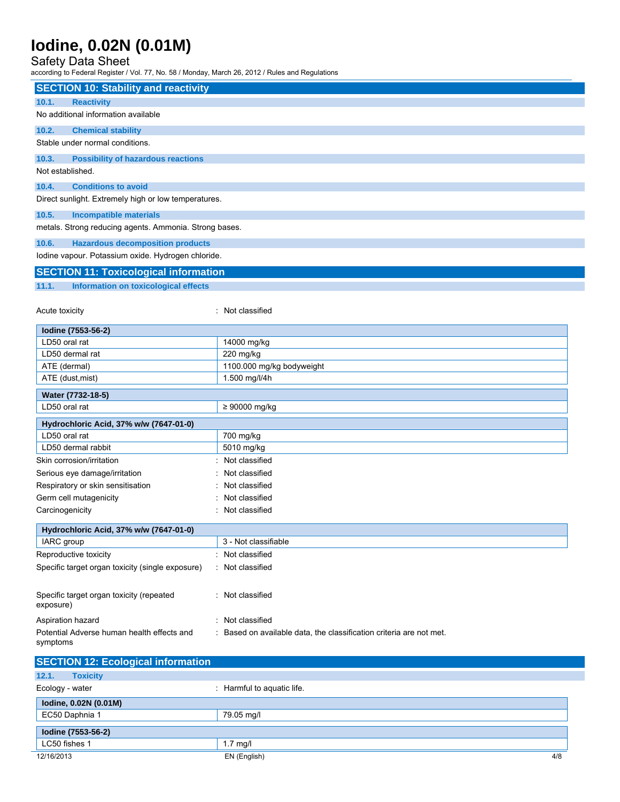### Safety Data Sheet

according to Federal Register / Vol. 77, No. 58 / Monday, March 26, 2012 / Rules and Regulations

| <b>SECTION 10: Stability and reactivity</b>            |                                                                     |  |  |
|--------------------------------------------------------|---------------------------------------------------------------------|--|--|
| <b>Reactivity</b><br>10.1.                             |                                                                     |  |  |
| No additional information available                    |                                                                     |  |  |
|                                                        |                                                                     |  |  |
| 10.2.<br><b>Chemical stability</b>                     |                                                                     |  |  |
| Stable under normal conditions.                        |                                                                     |  |  |
| <b>Possibility of hazardous reactions</b><br>10.3.     |                                                                     |  |  |
| Not established.                                       |                                                                     |  |  |
| 10.4.<br><b>Conditions to avoid</b>                    |                                                                     |  |  |
| Direct sunlight. Extremely high or low temperatures.   |                                                                     |  |  |
| 10.5.<br><b>Incompatible materials</b>                 |                                                                     |  |  |
| metals. Strong reducing agents. Ammonia. Strong bases. |                                                                     |  |  |
| 10.6.<br><b>Hazardous decomposition products</b>       |                                                                     |  |  |
| lodine vapour. Potassium oxide. Hydrogen chloride.     |                                                                     |  |  |
|                                                        |                                                                     |  |  |
| <b>SECTION 11: Toxicological information</b>           |                                                                     |  |  |
| Information on toxicological effects<br>11.1.          |                                                                     |  |  |
|                                                        |                                                                     |  |  |
| Acute toxicity                                         | : Not classified                                                    |  |  |
| Iodine (7553-56-2)                                     |                                                                     |  |  |
| LD50 oral rat                                          | 14000 mg/kg                                                         |  |  |
| LD50 dermal rat                                        | 220 mg/kg                                                           |  |  |
| ATE (dermal)                                           | 1100.000 mg/kg bodyweight                                           |  |  |
| ATE (dust, mist)                                       | 1.500 mg/l/4h                                                       |  |  |
| Water (7732-18-5)                                      |                                                                     |  |  |
| LD50 oral rat                                          | ≥ 90000 mg/kg                                                       |  |  |
| Hydrochloric Acid, 37% w/w (7647-01-0)                 |                                                                     |  |  |
| LD50 oral rat                                          | 700 mg/kg                                                           |  |  |
| LD50 dermal rabbit                                     | 5010 mg/kg                                                          |  |  |
| Skin corrosion/irritation                              | Not classified                                                      |  |  |
| Serious eye damage/irritation                          | Not classified                                                      |  |  |
| Respiratory or skin sensitisation                      | Not classified                                                      |  |  |
| Germ cell mutagenicity                                 | Not classified                                                      |  |  |
| Carcinogenicity                                        | : Not classified                                                    |  |  |
|                                                        |                                                                     |  |  |
| Hydrochloric Acid, 37% w/w (7647-01-0)                 |                                                                     |  |  |
| IARC group                                             | 3 - Not classifiable                                                |  |  |
| Reproductive toxicity                                  | : Not classified                                                    |  |  |
| Specific target organ toxicity (single exposure)       | : Not classified                                                    |  |  |
|                                                        |                                                                     |  |  |
| Specific target organ toxicity (repeated<br>exposure)  | : Not classified                                                    |  |  |
| Aspiration hazard                                      | : Not classified                                                    |  |  |
| Potential Adverse human health effects and             | : Based on available data, the classification criteria are not met. |  |  |
| symptoms                                               |                                                                     |  |  |
| <b>SECTION 12: Ecological information</b>              |                                                                     |  |  |
| 12.1.<br><b>Toxicity</b>                               |                                                                     |  |  |
|                                                        |                                                                     |  |  |
| Ecology - water                                        | : Harmful to aquatic life.                                          |  |  |
| lodine, 0.02N (0.01M)                                  |                                                                     |  |  |
| EC50 Daphnia 1                                         | 79.05 mg/l                                                          |  |  |
| Iodine (7553-56-2)                                     |                                                                     |  |  |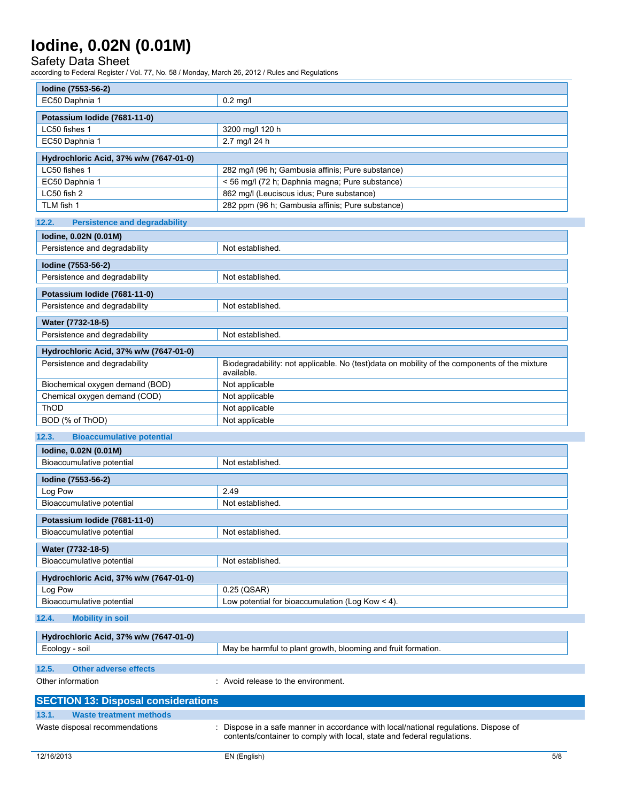### Safety Data Sheet

according to Federal Register / Vol. 77, No. 58 / Monday, March 26, 2012 / Rules and Regulations

| Iodine (7553-56-2)                                        |                                                                                                                                                               |  |
|-----------------------------------------------------------|---------------------------------------------------------------------------------------------------------------------------------------------------------------|--|
| EC50 Daphnia 1                                            | $0.2$ mg/l                                                                                                                                                    |  |
| Potassium Iodide (7681-11-0)                              |                                                                                                                                                               |  |
| LC50 fishes 1                                             | 3200 mg/l 120 h                                                                                                                                               |  |
| EC50 Daphnia 1                                            | 2.7 mg/l 24 h                                                                                                                                                 |  |
|                                                           |                                                                                                                                                               |  |
| Hydrochloric Acid, 37% w/w (7647-01-0)                    |                                                                                                                                                               |  |
| LC50 fishes 1                                             | 282 mg/l (96 h; Gambusia affinis; Pure substance)                                                                                                             |  |
| EC50 Daphnia 1<br>LC50 fish 2                             | < 56 mg/l (72 h; Daphnia magna; Pure substance)<br>862 mg/l (Leuciscus idus; Pure substance)                                                                  |  |
| TLM fish 1                                                | 282 ppm (96 h; Gambusia affinis; Pure substance)                                                                                                              |  |
|                                                           |                                                                                                                                                               |  |
| <b>Persistence and degradability</b><br>12.2.             |                                                                                                                                                               |  |
| lodine, 0.02N (0.01M)                                     |                                                                                                                                                               |  |
| Persistence and degradability                             | Not established.                                                                                                                                              |  |
| Iodine (7553-56-2)                                        |                                                                                                                                                               |  |
| Persistence and degradability                             | Not established.                                                                                                                                              |  |
| Potassium Iodide (7681-11-0)                              |                                                                                                                                                               |  |
| Persistence and degradability                             | Not established.                                                                                                                                              |  |
|                                                           |                                                                                                                                                               |  |
| Water (7732-18-5)<br>Persistence and degradability        | Not established.                                                                                                                                              |  |
|                                                           |                                                                                                                                                               |  |
| Hydrochloric Acid, 37% w/w (7647-01-0)                    |                                                                                                                                                               |  |
| Persistence and degradability                             | Biodegradability: not applicable. No (test)data on mobility of the components of the mixture<br>available.                                                    |  |
| Biochemical oxygen demand (BOD)                           | Not applicable                                                                                                                                                |  |
| Chemical oxygen demand (COD)                              | Not applicable                                                                                                                                                |  |
| ThOD                                                      | Not applicable                                                                                                                                                |  |
| BOD (% of ThOD)                                           | Not applicable                                                                                                                                                |  |
| 12.3.<br><b>Bioaccumulative potential</b>                 |                                                                                                                                                               |  |
| lodine, 0.02N (0.01M)                                     |                                                                                                                                                               |  |
| Bioaccumulative potential                                 | Not established.                                                                                                                                              |  |
| Iodine (7553-56-2)                                        |                                                                                                                                                               |  |
| Log Pow                                                   | 2.49                                                                                                                                                          |  |
| Bioaccumulative potential                                 | Not established.                                                                                                                                              |  |
|                                                           |                                                                                                                                                               |  |
| Potassium Iodide (7681-11-0)<br>Bioaccumulative potential | Not established.                                                                                                                                              |  |
|                                                           |                                                                                                                                                               |  |
| Water (7732-18-5)                                         |                                                                                                                                                               |  |
| Bioaccumulative potential                                 | Not established.                                                                                                                                              |  |
| Hydrochloric Acid, 37% w/w (7647-01-0)                    |                                                                                                                                                               |  |
| Log Pow                                                   | 0.25 (QSAR)                                                                                                                                                   |  |
| Bioaccumulative potential                                 | Low potential for bioaccumulation (Log Kow < 4).                                                                                                              |  |
| 12.4.<br><b>Mobility in soil</b>                          |                                                                                                                                                               |  |
| Hydrochloric Acid, 37% w/w (7647-01-0)                    |                                                                                                                                                               |  |
| Ecology - soil                                            | May be harmful to plant growth, blooming and fruit formation.                                                                                                 |  |
|                                                           |                                                                                                                                                               |  |
| 12.5.<br><b>Other adverse effects</b>                     |                                                                                                                                                               |  |
| Other information                                         | : Avoid release to the environment.                                                                                                                           |  |
| <b>SECTION 13: Disposal considerations</b>                |                                                                                                                                                               |  |
| 13.1.<br><b>Waste treatment methods</b>                   |                                                                                                                                                               |  |
| Waste disposal recommendations                            | Dispose in a safe manner in accordance with local/national regulations. Dispose of<br>contents/container to comply with local, state and federal regulations. |  |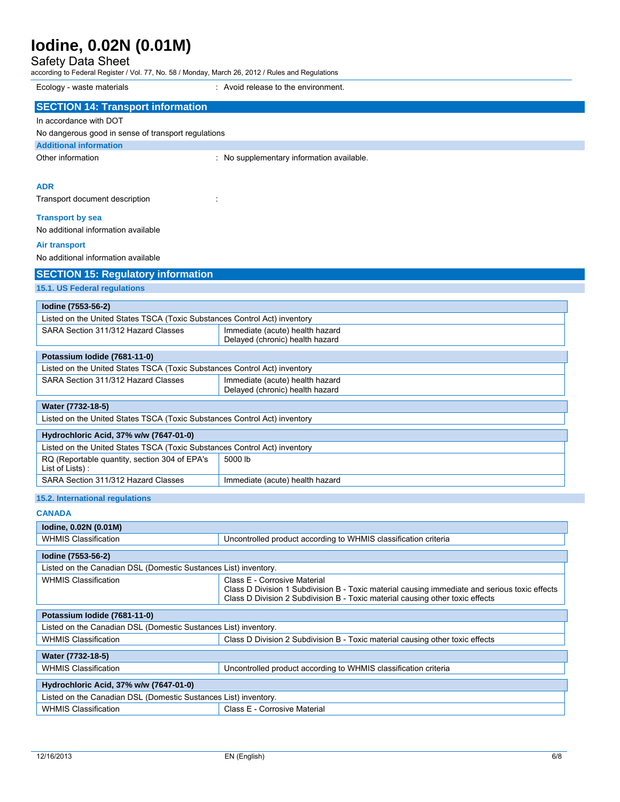Safety Data Sheet

according to Federal Register / Vol. 77, No. 58 / Monday, March 26, 2012 / Rules and Regulations Ecology - waste materials : Avoid release to the environment.

| ECOIOGY - Waste Indichais                                                 | AVOID TEIERSE ID THE EITVILDITTIELIT.                                                         |
|---------------------------------------------------------------------------|-----------------------------------------------------------------------------------------------|
| <b>SECTION 14: Transport information</b>                                  |                                                                                               |
| In accordance with DOT                                                    |                                                                                               |
| No dangerous good in sense of transport regulations                       |                                                                                               |
| <b>Additional information</b>                                             |                                                                                               |
| Other information                                                         | : No supplementary information available.                                                     |
|                                                                           |                                                                                               |
| <b>ADR</b>                                                                |                                                                                               |
|                                                                           |                                                                                               |
| Transport document description                                            |                                                                                               |
| <b>Transport by sea</b>                                                   |                                                                                               |
| No additional information available                                       |                                                                                               |
| <b>Air transport</b>                                                      |                                                                                               |
| No additional information available                                       |                                                                                               |
| <b>SECTION 15: Regulatory information</b>                                 |                                                                                               |
| 15.1. US Federal regulations                                              |                                                                                               |
|                                                                           |                                                                                               |
| Iodine (7553-56-2)                                                        |                                                                                               |
| Listed on the United States TSCA (Toxic Substances Control Act) inventory |                                                                                               |
| SARA Section 311/312 Hazard Classes                                       | Immediate (acute) health hazard                                                               |
|                                                                           | Delayed (chronic) health hazard                                                               |
| Potassium Iodide (7681-11-0)                                              |                                                                                               |
| Listed on the United States TSCA (Toxic Substances Control Act) inventory |                                                                                               |
| SARA Section 311/312 Hazard Classes                                       | Immediate (acute) health hazard<br>Delayed (chronic) health hazard                            |
|                                                                           |                                                                                               |
| Water (7732-18-5)                                                         |                                                                                               |
| Listed on the United States TSCA (Toxic Substances Control Act) inventory |                                                                                               |
| Hydrochloric Acid, 37% w/w (7647-01-0)                                    |                                                                                               |
| Listed on the United States TSCA (Toxic Substances Control Act) inventory |                                                                                               |
| RQ (Reportable quantity, section 304 of EPA's                             | 5000 lb                                                                                       |
| List of Lists):<br>SARA Section 311/312 Hazard Classes                    | Immediate (acute) health hazard                                                               |
|                                                                           |                                                                                               |
| 15.2. International regulations                                           |                                                                                               |
| <b>CANADA</b>                                                             |                                                                                               |
| lodine, 0.02N (0.01M)                                                     |                                                                                               |
| <b>WHMIS Classification</b>                                               | Uncontrolled product according to WHMIS classification criteria                               |
| Iodine (7553-56-2)                                                        |                                                                                               |
| Listed on the Canadian DSL (Domestic Sustances List) inventory.           |                                                                                               |
| <b>WHMIS Classification</b>                                               | Class E - Corrosive Material                                                                  |
|                                                                           | Class D Division 1 Subdivision B - Toxic material causing immediate and serious toxic effects |
|                                                                           | Class D Division 2 Subdivision B - Toxic material causing other toxic effects                 |
| Potassium Iodide (7681-11-0)                                              |                                                                                               |
| Listed on the Canadian DSL (Domestic Sustances List) inventory.           |                                                                                               |
| <b>WHMIS Classification</b>                                               | Class D Division 2 Subdivision B - Toxic material causing other toxic effects                 |
| Water (7732-18-5)                                                         |                                                                                               |
| <b>WHMIS Classification</b>                                               | Uncontrolled product according to WHMIS classification criteria                               |
|                                                                           |                                                                                               |
| Hydrochloric Acid, 37% w/w (7647-01-0)                                    |                                                                                               |
| Listed on the Canadian DSL (Domestic Sustances List) inventory.           |                                                                                               |
| <b>WHMIS Classification</b>                                               | Class E - Corrosive Material                                                                  |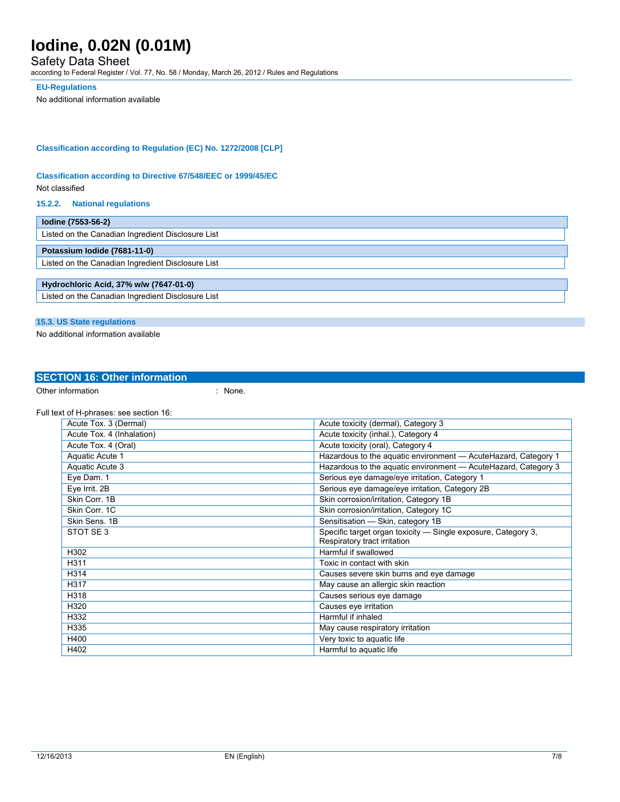### Safety Data Sheet

according to Federal Register / Vol. 77, No. 58 / Monday, March 26, 2012 / Rules and Regulations

#### **EU-Regulations**

No additional information available

#### **Classification according to Regulation (EC) No. 1272/2008 [CLP]**

#### **Classification according to Directive 67/548/EEC or 1999/45/EC**

Not classified

#### **15.2.2. National regulations**

| lodine (7553-56-2)                                |  |  |
|---------------------------------------------------|--|--|
| Listed on the Canadian Ingredient Disclosure List |  |  |
| Potassium Iodide (7681-11-0)                      |  |  |
| Listed on the Canadian Ingredient Disclosure List |  |  |
|                                                   |  |  |
| Hydrochloric Acid, 37% w/w (7647-01-0)            |  |  |
| Listed on the Canadian Ingredient Disclosure List |  |  |

#### **15.3. US State regulations**

No additional information available

## **SECTION 16: Other information**

Other information in the set of the set of the set of the set of the set of the set of the set of the set of the set of the set of the set of the set of the set of the set of the set of the set of the set of the set of the

Full text of H-phrases: see section 16:

| Acute Tox. 3 (Dermal)     | Acute toxicity (dermal), Category 3                                                           |
|---------------------------|-----------------------------------------------------------------------------------------------|
| Acute Tox. 4 (Inhalation) | Acute toxicity (inhal.), Category 4                                                           |
| Acute Tox. 4 (Oral)       | Acute toxicity (oral), Category 4                                                             |
| Aquatic Acute 1           | Hazardous to the aquatic environment - Acute Hazard, Category 1                               |
| Aquatic Acute 3           | Hazardous to the aquatic environment - AcuteHazard, Category 3                                |
| Eye Dam. 1                | Serious eye damage/eye irritation, Category 1                                                 |
| Eye Irrit. 2B             | Serious eye damage/eye irritation, Category 2B                                                |
| Skin Corr. 1B             | Skin corrosion/irritation, Category 1B                                                        |
| Skin Corr. 1C             | Skin corrosion/irritation, Category 1C                                                        |
| Skin Sens, 1B             | Sensitisation - Skin, category 1B                                                             |
| STOT SE 3                 | Specific target organ toxicity - Single exposure, Category 3,<br>Respiratory tract irritation |
| H302                      | Harmful if swallowed                                                                          |
| H311                      | Toxic in contact with skin                                                                    |
| H314                      | Causes severe skin burns and eye damage                                                       |
| H317                      | May cause an allergic skin reaction                                                           |
| H318                      | Causes serious eye damage                                                                     |
| H320                      | Causes eye irritation                                                                         |
| H332                      | Harmful if inhaled                                                                            |
| H335                      | May cause respiratory irritation                                                              |
| H400                      | Very toxic to aquatic life                                                                    |
| H402                      | Harmful to aquatic life                                                                       |